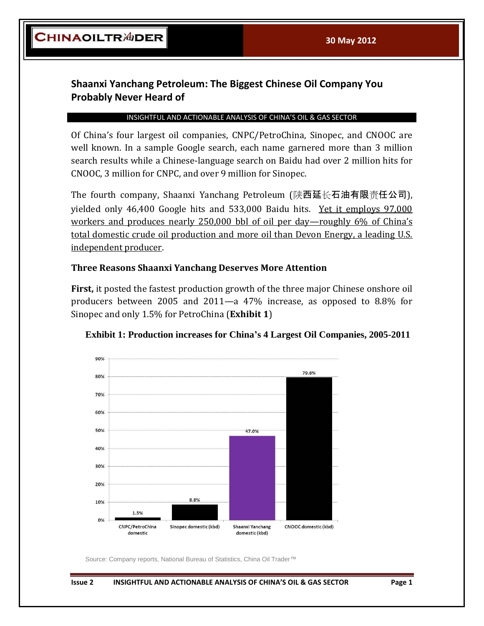## **Shaanxi Yanchang Petroleum: The Biggest Chinese Oil Company You Probably Never Heard of**

## INSIGHTFUL AND ACTIONABLE ANALYSIS OF CHINA'S OIL & GAS SECTOR

Of China's four largest oil companies, CNPC/PetroChina, Sinopec, and CNOOC are well known. In a sample Google search, each name garnered more than 3 million search results while a Chinese-language search on Baidu had over 2 million hits for CNOOC, 3 million for CNPC, and over 9 million for Sinopec.

The fourth company, Shaanxi Yanchang Petroleum (陕西延长石油有限责任公司), yielded only 46,400 Google hits and 533,000 Baidu hits. Yet it employs 97,000 workers and produces nearly 250,000 bbl of oil per day—roughly 6% of China's total domestic crude oil production and more oil than Devon Energy, a leading U.S. independent producer.

## **Three Reasons Shaanxi Yanchang Deserves More Attention**

**First,** it posted the fastest production growth of the three major Chinese onshore oil producers between 2005 and 2011—a 47% increase, as opposed to 8.8% for Sinopec and only 1.5% for PetroChina (**Exhibit 1**)





Source: Company reports, National Bureau of Statistics, China Oil Trader™